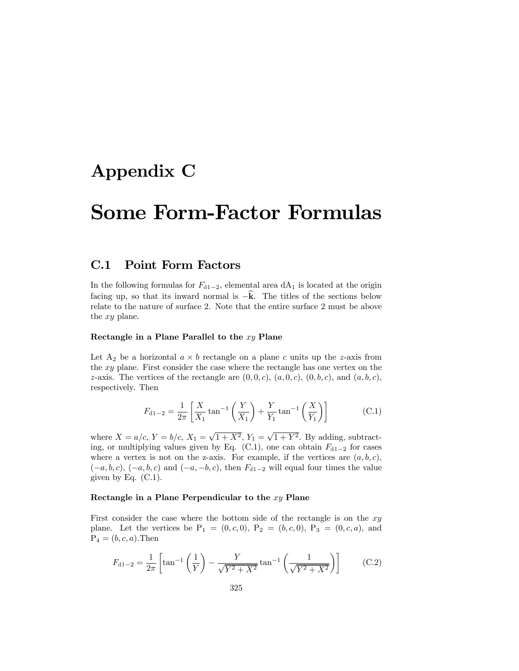## Appendix C

# Some Form-Factor Formulas

### C.1 Point Form Factors

In the following formulas for  $F_{d1-2}$ , elemental area dA<sub>1</sub> is located at the origin facing up, so that its inward normal is  $-\mathbf{k}$ . The titles of the sections below relate to the nature of surface 2. Note that the entire surface 2 must be above the xy plane.

#### Rectangle in a Plane Parallel to the  $xy$  Plane

Let  $A_2$  be a horizontal  $a \times b$  rectangle on a plane c units up the z-axis from the xy plane. First consider the case where the rectangle has one vertex on the z-axis. The vertices of the rectangle are  $(0, 0, c)$ ,  $(a, 0, c)$ ,  $(0, b, c)$ , and  $(a, b, c)$ , respectively. Then

$$
F_{d1-2} = \frac{1}{2\pi} \left[ \frac{X}{X_1} \tan^{-1} \left( \frac{Y}{X_1} \right) + \frac{Y}{Y_1} \tan^{-1} \left( \frac{X}{Y_1} \right) \right]
$$
(C.1)

where  $X = a/c$ ,  $Y = b/c$ ,  $X_1 = \sqrt{1 + X^2}$ ,  $Y_1 = \sqrt{1 + Y^2}$ . By adding, subtracting, or multiplying values given by Eq. (C.1), one can obtain  $F_{d1-2}$  for cases where a vertex is not on the z-axis. For example, if the vertices are  $(a, b, c)$ ,  $(-a, b, c), (-a, b, c)$  and  $(-a, -b, c)$ , then  $F_{d1-2}$  will equal four times the value given by Eq.  $(C.1)$ .

#### Rectangle in a Plane Perpendicular to the  $xy$  Plane

First consider the case where the bottom side of the rectangle is on the  $xy$ plane. Let the vertices be  $P_1 = (0, c, 0), P_2 = (b, c, 0), P_3 = (0, c, a),$  and  $P_4 = (b, c, a)$ . Then

$$
F_{d1-2} = \frac{1}{2\pi} \left[ \tan^{-1} \left( \frac{1}{Y} \right) - \frac{Y}{\sqrt{Y^2 + X^2}} \tan^{-1} \left( \frac{1}{\sqrt{Y^2 + X^2}} \right) \right]
$$
 (C.2)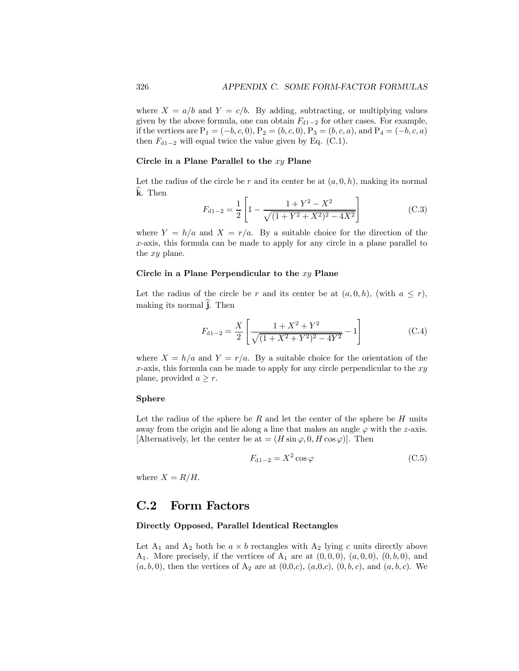where  $X = a/b$  and  $Y = c/b$ . By adding, subtracting, or multiplying values given by the above formula, one can obtain  $F_{d1-2}$  for other cases. For example, if the vertices are  $P_1 = (-b, c, 0), P_2 = (b, c, 0), P_3 = (b, c, a),$  and  $P_4 = (-b, c, a)$ then  $F_{d1-2}$  will equal twice the value given by Eq. (C.1).

#### Circle in a Plane Parallel to the  $xy$  Plane

Let the radius of the circle be r and its center be at  $(a, 0, h)$ , making its normal k. Then

$$
F_{d1-2} = \frac{1}{2} \left[ 1 - \frac{1 + Y^2 - X^2}{\sqrt{(1 + Y^2 + X^2)^2 - 4X^2}} \right]
$$
(C.3)

where  $Y = h/a$  and  $X = r/a$ . By a suitable choice for the direction of the x-axis, this formula can be made to apply for any circle in a plane parallel to the xy plane.

#### Circle in a Plane Perpendicular to the  $xy$  Plane

Let the radius of the circle be r and its center be at  $(a, 0, h)$ , (with  $a \leq r$ ), making its normal  $\hat{i}$ . Then

$$
F_{d1-2} = \frac{X}{2} \left[ \frac{1 + X^2 + Y^2}{\sqrt{(1 + X^2 + Y^2)^2 - 4Y^2}} - 1 \right]
$$
 (C.4)

where  $X = h/a$  and  $Y = r/a$ . By a suitable choice for the orientation of the  $x$ -axis, this formula can be made to apply for any circle perpendicular to the  $xy$ plane, provided  $a \geq r$ .

#### Sphere

Let the radius of the sphere be  $R$  and let the center of the sphere be  $H$  units away from the origin and lie along a line that makes an angle  $\varphi$  with the z-axis. [Alternatively, let the center be at  $=(H \sin \varphi, 0, H \cos \varphi)$ ]. Then

$$
F_{d1-2} = X^2 \cos \varphi \tag{C.5}
$$

where  $X = R/H$ .

## C.2 Form Factors

#### Directly Opposed, Parallel Identical Rectangles

Let  $A_1$  and  $A_2$  both be  $a \times b$  rectangles with  $A_2$  lying c units directly above  $A_1$ . More precisely, if the vertices of  $A_1$  are at  $(0,0,0)$ ,  $(a,0,0)$ ,  $(0,b,0)$ , and  $(a, b, 0)$ , then the vertices of  $A_2$  are at  $(0, 0, c)$ ,  $(a, 0, c)$ ,  $(0, b, c)$ , and  $(a, b, c)$ . We